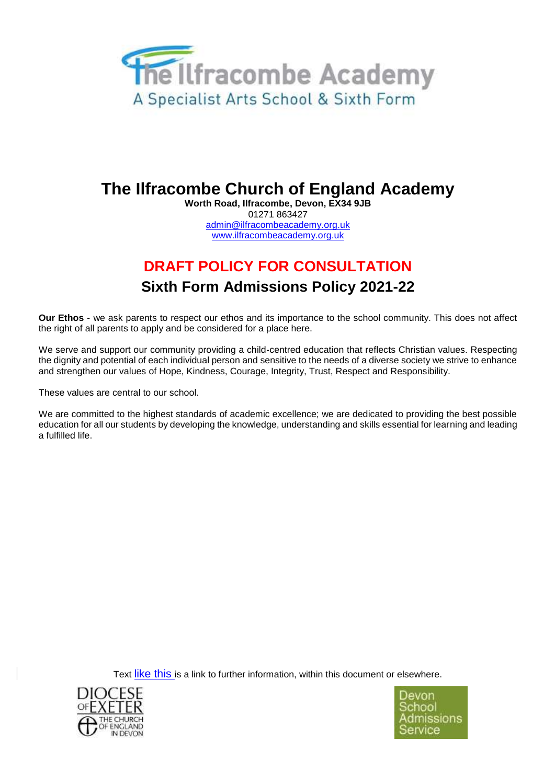

# **The Ilfracombe Church of England Academy**

**Worth Road, Ilfracombe, Devon, EX34 9JB** 01271 863427 admin@ilfracombeacademy.org.uk www.ilfracombeacademy.org.uk

# **DRAFT POLICY FOR CONSULTATION Sixth Form Admissions Policy 2021-22**

**Our Ethos** - we ask parents to respect our ethos and its importance to the school community. This does not affect the right of all parents to apply and be considered for a place here.

We serve and support our community providing a child-centred education that reflects Christian values. Respecting the dignity and potential of each individual person and sensitive to the needs of a diverse society we strive to enhance and strengthen our values of Hope, Kindness, Courage, Integrity, Trust, Respect and Responsibility.

These values are central to our school.

We are committed to the highest standards of academic excellence; we are dedicated to providing the best possible education for all our students by developing the knowledge, understanding and skills essential for learning and leading a fulfilled life.

Text like this is a link to further information, within this document or elsewhere.



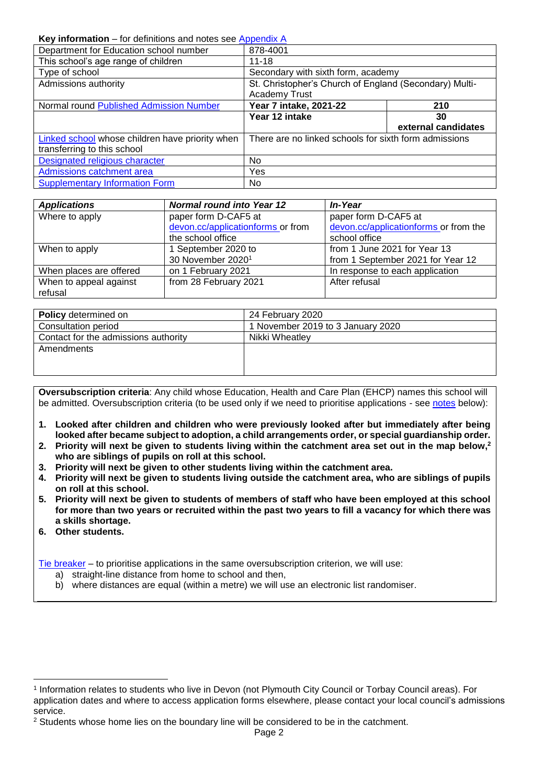#### <span id="page-1-0"></span>**Key information** – for definitions and notes see [Appendix A](#page-5-0)

| Department for Education school number          | 878-4001                                               |                     |
|-------------------------------------------------|--------------------------------------------------------|---------------------|
| This school's age range of children             | $11 - 18$                                              |                     |
| Type of school                                  | Secondary with sixth form, academy                     |                     |
| Admissions authority                            | St. Christopher's Church of England (Secondary) Multi- |                     |
|                                                 | <b>Academy Trust</b>                                   |                     |
| Normal round Published Admission Number         | Year 7 intake, 2021-22                                 | 210                 |
|                                                 | Year 12 intake                                         | 30                  |
|                                                 |                                                        | external candidates |
| Linked school whose children have priority when | There are no linked schools for sixth form admissions  |                     |
| transferring to this school                     |                                                        |                     |
| Designated religious character                  | No                                                     |                     |
| Admissions catchment area                       | Yes                                                    |                     |
| <b>Supplementary Information Form</b>           | No                                                     |                     |

| <b>Applications</b>     | <b>Normal round into Year 12</b>  | In-Year                               |
|-------------------------|-----------------------------------|---------------------------------------|
| Where to apply          | paper form D-CAF5 at              | paper form D-CAF5 at                  |
|                         | devon.cc/applicationforms or from | devon.cc/applicationforms or from the |
|                         | the school office                 | school office                         |
| When to apply           | 1 September 2020 to               | from 1 June 2021 for Year 13          |
|                         | 30 November 2020 <sup>1</sup>     | from 1 September 2021 for Year 12     |
| When places are offered | on 1 February 2021                | In response to each application       |
| When to appeal against  | from 28 February 2021             | After refusal                         |
| refusal                 |                                   |                                       |

| <b>Policy</b> determined on          | 24 February 2020                  |
|--------------------------------------|-----------------------------------|
| Consultation period                  | 1 November 2019 to 3 January 2020 |
| Contact for the admissions authority | Nikki Wheatlev                    |
| Amendments                           |                                   |
|                                      |                                   |
|                                      |                                   |

**Oversubscription criteria**: Any child whose Education, Health and Care Plan (EHCP) names this school will be admitted. Oversubscription criteria (to be used only if we need to prioritise applications - see [notes](#page-8-0) below):

- **1. Looked after children and children who were previously looked after but immediately after being looked after became subject to adoption, a child arrangements order, or special guardianship order.**
- **2. Priority will next be given to students living within the catchment area set out in the map below,<sup>2</sup> who are siblings of pupils on roll at this school.**
- **3. Priority will next be given to other students living within the catchment area.**
- **4. Priority will next be given to students living outside the catchment area, who are siblings of pupils on roll at this school.**
- **5. Priority will next be given to students of members of staff who have been employed at this school for more than two years or recruited within the past two years to fill a vacancy for which there was a skills shortage.**
- **6. Other students.**

1

[Tie breaker](file://///Ds.devon.gov.uk/docs/Exeter,%20County%20Hall/EALData/Shared/Admissions%20files%20for%20website/2021%20files/2021%20Oreston%20admissions%20policy.docx%23tiebreaker) – to prioritise applications in the same oversubscription criterion, we will use:

- a) straight-line distance from home to school and then,
- b) where distances are equal (within a metre) we will use an electronic list randomiser.

<sup>1</sup> Information relates to students who live in Devon (not Plymouth City Council or Torbay Council areas). For application dates and where to access application forms elsewhere, please contact your local council's admissions service.

 $2$  Students whose home lies on the boundary line will be considered to be in the catchment.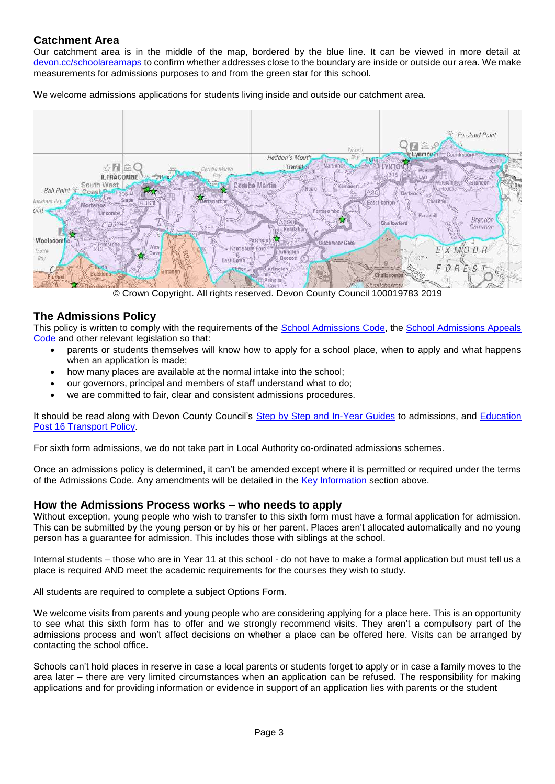## **Catchment Area**

Our catchment area is in the middle of the map, bordered by the blue line. It can be viewed in more detail at [devon.cc/schoolareamaps](http://devon.cc/schoolareamaps) to confirm whether addresses close to the boundary are inside or outside our area. We make measurements for admissions purposes to and from the green star for this school.

We welcome admissions applications for students living inside and outside our catchment area.



© Crown Copyright. All rights reserved. Devon County Council 100019783 2019

### **The Admissions Policy**

This policy is written to comply with the requirements of the [School Admissions Code,](https://www.gov.uk/government/publications/school-admissions-code--2) the [School Admissions Appeals](https://www.gov.uk/government/publications/school-admissions-appeals-code)  [Code](https://www.gov.uk/government/publications/school-admissions-appeals-code) and other relevant legislation so that:

- parents or students themselves will know how to apply for a school place, when to apply and what happens when an application is made;
- how many places are available at the normal intake into the school;
- our governors, principal and members of staff understand what to do;
- we are committed to fair, clear and consistent admissions procedures.

It should be read along with Devon County Council's [Step by Step and In-Year Guides](https://devoncc.sharepoint.com/:f:/r/sites/PublicDocs/Education/Children/Admissions/Composite%20Prospectus?csf=1&e=OwE5y2) to admissions, and [Education](https://devoncc.sharepoint.com/:f:/r/sites/PublicDocs/Education/Children/Admissions/Devon%20LA%20policies?csf=1&e=EC6jZg)  [Post 16 Transport Policy.](https://devoncc.sharepoint.com/:f:/r/sites/PublicDocs/Education/Children/Admissions/Devon%20LA%20policies?csf=1&e=EC6jZg)

For sixth form admissions, we do not take part in Local Authority co-ordinated admissions schemes.

Once an admissions policy is determined, it can't be amended except where it is permitted or required under the terms of the Admissions Code. Any amendments will be detailed in the [Key Information](#page-1-0) section above.

#### **How the Admissions Process works – who needs to apply**

Without exception, young people who wish to transfer to this sixth form must have a formal application for admission. This can be submitted by the young person or by his or her parent. Places aren't allocated automatically and no young person has a guarantee for admission. This includes those with siblings at the school.

Internal students – those who are in Year 11 at this school - do not have to make a formal application but must tell us a place is required AND meet the academic requirements for the courses they wish to study.

All students are required to complete a subject Options Form.

We welcome visits from parents and young people who are considering applying for a place here. This is an opportunity to see what this sixth form has to offer and we strongly recommend visits. They aren't a compulsory part of the admissions process and won't affect decisions on whether a place can be offered here. Visits can be arranged by contacting the school office.

Schools can't hold places in reserve in case a local parents or students forget to apply or in case a family moves to the area later – there are very limited circumstances when an application can be refused. The responsibility for making applications and for providing information or evidence in support of an application lies with parents or the student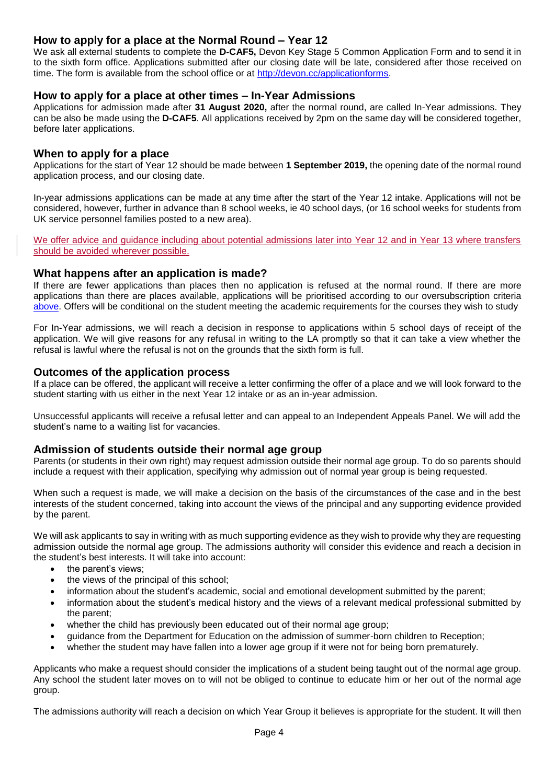## **How to apply for a place at the Normal Round – Year 12**

We ask all external students to complete the **D-CAF5,** Devon Key Stage 5 Common Application Form and to send it in to the sixth form office. Applications submitted after our closing date will be late, considered after those received on time. The form is available from the school office or at [http://devon.cc/applicationforms.](http://devon.cc/applicationforms)

#### **How to apply for a place at other times – In-Year Admissions**

Applications for admission made after **31 August 2020,** after the normal round, are called In-Year admissions. They can be also be made using the **D-CAF5**. All applications received by 2pm on the same day will be considered together, before later applications.

#### **When to apply for a place**

Applications for the start of Year 12 should be made between **1 September 2019,** the opening date of the normal round application process, and our closing date.

In-year admissions applications can be made at any time after the start of the Year 12 intake. Applications will not be considered, however, further in advance than 8 school weeks, ie 40 school days, (or 16 school weeks for students from UK service personnel families posted to a new area).

We offer advice and guidance including about potential admissions later into Year 12 and in Year 13 where transfers should be avoided wherever possible.

#### **What happens after an application is made?**

If there are fewer applications than places then no application is refused at the normal round. If there are more applications than there are places available, applications will be prioritised according to our oversubscription criteria [above.](#page-8-0) Offers will be conditional on the student meeting the academic requirements for the courses they wish to study

For In-Year admissions, we will reach a decision in response to applications within 5 school days of receipt of the application. We will give reasons for any refusal in writing to the LA promptly so that it can take a view whether the refusal is lawful where the refusal is not on the grounds that the sixth form is full.

#### **Outcomes of the application process**

If a place can be offered, the applicant will receive a letter confirming the offer of a place and we will look forward to the student starting with us either in the next Year 12 intake or as an in-year admission.

Unsuccessful applicants will receive a refusal letter and can appeal to an Independent Appeals Panel. We will add the student's name to a waiting list for vacancies.

#### **Admission of students outside their normal age group**

Parents (or students in their own right) may request admission outside their normal age group. To do so parents should include a request with their application, specifying why admission out of normal year group is being requested.

When such a request is made, we will make a decision on the basis of the circumstances of the case and in the best interests of the student concerned, taking into account the views of the principal and any supporting evidence provided by the parent.

We will ask applicants to say in writing with as much supporting evidence as they wish to provide why they are requesting admission outside the normal age group. The admissions authority will consider this evidence and reach a decision in the student's best interests. It will take into account:

- the parent's views:
- the views of the principal of this school:
- information about the student's academic, social and emotional development submitted by the parent;
- information about the student's medical history and the views of a relevant medical professional submitted by the parent;
- whether the child has previously been educated out of their normal age group;
- guidance from the Department for Education on the admission of summer-born children to Reception;
- whether the student may have fallen into a lower age group if it were not for being born prematurely.

Applicants who make a request should consider the implications of a student being taught out of the normal age group. Any school the student later moves on to will not be obliged to continue to educate him or her out of the normal age group.

The admissions authority will reach a decision on which Year Group it believes is appropriate for the student. It will then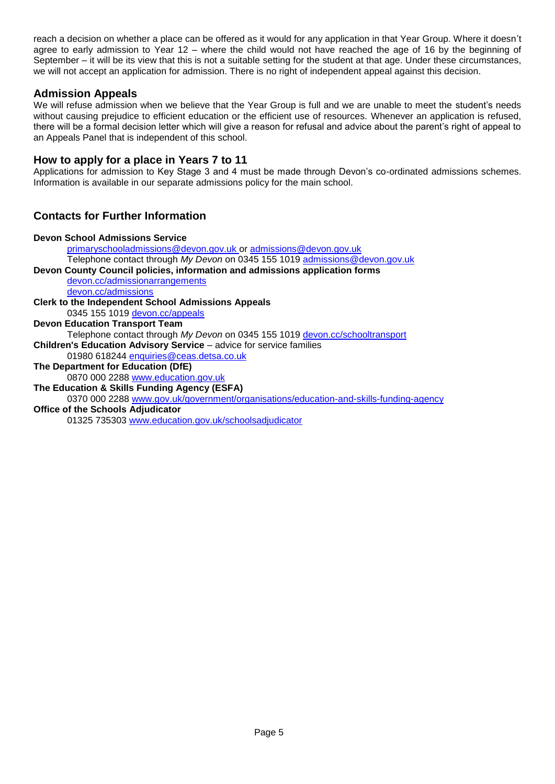reach a decision on whether a place can be offered as it would for any application in that Year Group. Where it doesn't agree to early admission to Year 12 – where the child would not have reached the age of 16 by the beginning of September – it will be its view that this is not a suitable setting for the student at that age. Under these circumstances, we will not accept an application for admission. There is no right of independent appeal against this decision.

### **Admission Appeals**

We will refuse admission when we believe that the Year Group is full and we are unable to meet the student's needs without causing prejudice to efficient education or the efficient use of resources. Whenever an application is refused, there will be a formal decision letter which will give a reason for refusal and advice about the parent's right of appeal to an Appeals Panel that is independent of this school.

#### **How to apply for a place in Years 7 to 11**

Applications for admission to Key Stage 3 and 4 must be made through Devon's co-ordinated admissions schemes. Information is available in our separate admissions policy for the main school.

## **Contacts for Further Information**

| <b>Devon School Admissions Service</b>                                                |
|---------------------------------------------------------------------------------------|
| primaryschooladmissions@devon.gov.uk or admissions@devon.gov.uk                       |
| Telephone contact through My Devon on 0345 155 1019 admissions@devon.gov.uk           |
| Devon County Council policies, information and admissions application forms           |
| devon.cc/admissionarrangements                                                        |
| devon.cc/admissions                                                                   |
| <b>Clerk to the Independent School Admissions Appeals</b>                             |
| 0345 155 1019 devon.cc/appeals                                                        |
| <b>Devon Education Transport Team</b>                                                 |
| Telephone contact through My Devon on 0345 155 1019 devon.cc/schooltransport          |
| <b>Children's Education Advisory Service</b> – advice for service families            |
| 01980 618244 enquiries@ceas.detsa.co.uk                                               |
| The Department for Education (DfE)                                                    |
| 0870 000 2288 www.education.gov.uk                                                    |
| The Education & Skills Funding Agency (ESFA)                                          |
| 0370 000 2288 www.gov.uk/government/organisations/education-and-skills-funding-agency |
| <b>Office of the Schools Adjudicator</b>                                              |
| 01325 735303 www.education.gov.uk/schoolsadjudicator                                  |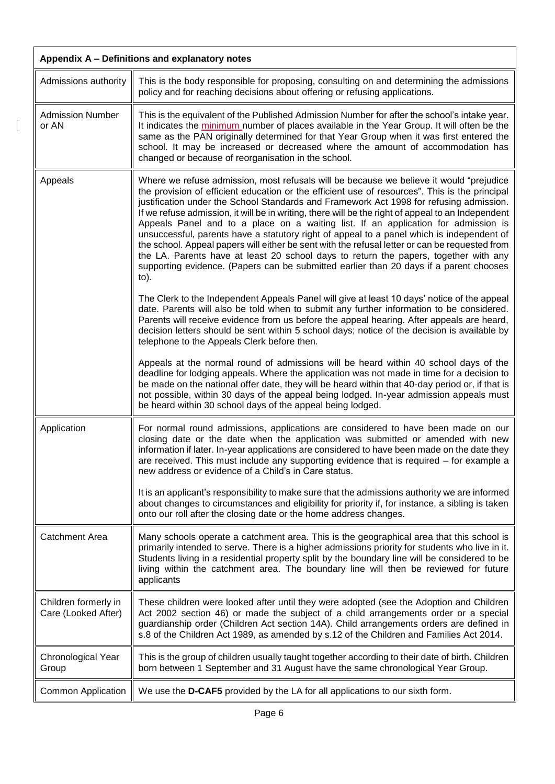<span id="page-5-0"></span>

| Appendix A - Definitions and explanatory notes |                                                                                                                                                                                                                                                                                                                                                                                                                                                                                                                                                                                                                                                                                                                                                                                                                                                                           |
|------------------------------------------------|---------------------------------------------------------------------------------------------------------------------------------------------------------------------------------------------------------------------------------------------------------------------------------------------------------------------------------------------------------------------------------------------------------------------------------------------------------------------------------------------------------------------------------------------------------------------------------------------------------------------------------------------------------------------------------------------------------------------------------------------------------------------------------------------------------------------------------------------------------------------------|
| Admissions authority                           | This is the body responsible for proposing, consulting on and determining the admissions<br>policy and for reaching decisions about offering or refusing applications.                                                                                                                                                                                                                                                                                                                                                                                                                                                                                                                                                                                                                                                                                                    |
| <b>Admission Number</b><br>or AN               | This is the equivalent of the Published Admission Number for after the school's intake year.<br>It indicates the minimum number of places available in the Year Group. It will often be the<br>same as the PAN originally determined for that Year Group when it was first entered the<br>school. It may be increased or decreased where the amount of accommodation has<br>changed or because of reorganisation in the school.                                                                                                                                                                                                                                                                                                                                                                                                                                           |
| Appeals                                        | Where we refuse admission, most refusals will be because we believe it would "prejudice<br>the provision of efficient education or the efficient use of resources". This is the principal<br>justification under the School Standards and Framework Act 1998 for refusing admission.<br>If we refuse admission, it will be in writing, there will be the right of appeal to an Independent<br>Appeals Panel and to a place on a waiting list. If an application for admission is<br>unsuccessful, parents have a statutory right of appeal to a panel which is independent of<br>the school. Appeal papers will either be sent with the refusal letter or can be requested from<br>the LA. Parents have at least 20 school days to return the papers, together with any<br>supporting evidence. (Papers can be submitted earlier than 20 days if a parent chooses<br>to). |
|                                                | The Clerk to the Independent Appeals Panel will give at least 10 days' notice of the appeal<br>date. Parents will also be told when to submit any further information to be considered.<br>Parents will receive evidence from us before the appeal hearing. After appeals are heard,<br>decision letters should be sent within 5 school days; notice of the decision is available by<br>telephone to the Appeals Clerk before then.                                                                                                                                                                                                                                                                                                                                                                                                                                       |
|                                                | Appeals at the normal round of admissions will be heard within 40 school days of the<br>deadline for lodging appeals. Where the application was not made in time for a decision to<br>be made on the national offer date, they will be heard within that 40-day period or, if that is<br>not possible, within 30 days of the appeal being lodged. In-year admission appeals must<br>be heard within 30 school days of the appeal being lodged.                                                                                                                                                                                                                                                                                                                                                                                                                            |
| Application                                    | For normal round admissions, applications are considered to have been made on our<br>closing date or the date when the application was submitted or amended with new<br>information if later. In-year applications are considered to have been made on the date they<br>are received. This must include any supporting evidence that is required – for example a<br>new address or evidence of a Child's in Care status.                                                                                                                                                                                                                                                                                                                                                                                                                                                  |
|                                                | It is an applicant's responsibility to make sure that the admissions authority we are informed<br>about changes to circumstances and eligibility for priority if, for instance, a sibling is taken<br>onto our roll after the closing date or the home address changes.                                                                                                                                                                                                                                                                                                                                                                                                                                                                                                                                                                                                   |
| <b>Catchment Area</b>                          | Many schools operate a catchment area. This is the geographical area that this school is<br>primarily intended to serve. There is a higher admissions priority for students who live in it.<br>Students living in a residential property split by the boundary line will be considered to be<br>living within the catchment area. The boundary line will then be reviewed for future<br>applicants                                                                                                                                                                                                                                                                                                                                                                                                                                                                        |
| Children formerly in<br>Care (Looked After)    | These children were looked after until they were adopted (see the Adoption and Children<br>Act 2002 section 46) or made the subject of a child arrangements order or a special<br>guardianship order (Children Act section 14A). Child arrangements orders are defined in<br>s.8 of the Children Act 1989, as amended by s.12 of the Children and Families Act 2014.                                                                                                                                                                                                                                                                                                                                                                                                                                                                                                      |
| Chronological Year<br>Group                    | This is the group of children usually taught together according to their date of birth. Children<br>born between 1 September and 31 August have the same chronological Year Group.                                                                                                                                                                                                                                                                                                                                                                                                                                                                                                                                                                                                                                                                                        |
| Common Application                             | We use the D-CAF5 provided by the LA for all applications to our sixth form.                                                                                                                                                                                                                                                                                                                                                                                                                                                                                                                                                                                                                                                                                                                                                                                              |

 $\overline{\phantom{a}}$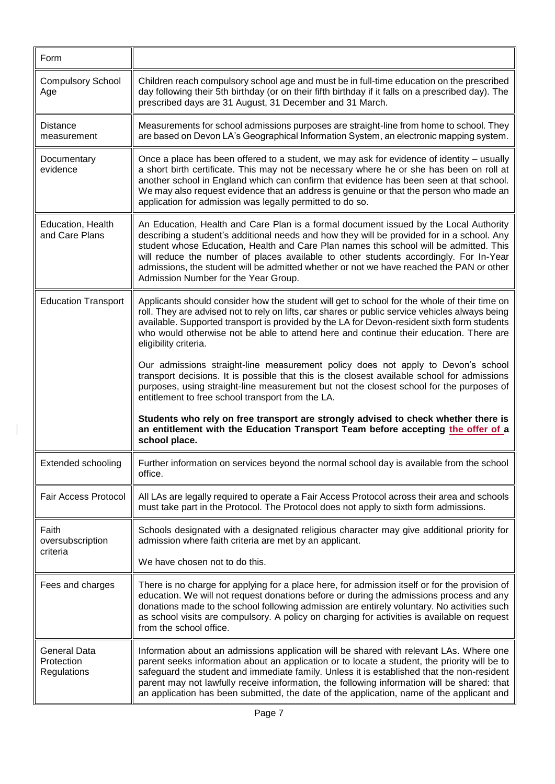| Form                                             |                                                                                                                                                                                                                                                                                                                                                                                                                                                                                                            |
|--------------------------------------------------|------------------------------------------------------------------------------------------------------------------------------------------------------------------------------------------------------------------------------------------------------------------------------------------------------------------------------------------------------------------------------------------------------------------------------------------------------------------------------------------------------------|
| <b>Compulsory School</b><br>Age                  | Children reach compulsory school age and must be in full-time education on the prescribed<br>day following their 5th birthday (or on their fifth birthday if it falls on a prescribed day). The<br>prescribed days are 31 August, 31 December and 31 March.                                                                                                                                                                                                                                                |
| <b>Distance</b><br>measurement                   | Measurements for school admissions purposes are straight-line from home to school. They<br>are based on Devon LA's Geographical Information System, an electronic mapping system.                                                                                                                                                                                                                                                                                                                          |
| Documentary<br>evidence                          | Once a place has been offered to a student, we may ask for evidence of identity – usually<br>a short birth certificate. This may not be necessary where he or she has been on roll at<br>another school in England which can confirm that evidence has been seen at that school.<br>We may also request evidence that an address is genuine or that the person who made an<br>application for admission was legally permitted to do so.                                                                    |
| Education, Health<br>and Care Plans              | An Education, Health and Care Plan is a formal document issued by the Local Authority<br>describing a student's additional needs and how they will be provided for in a school. Any<br>student whose Education, Health and Care Plan names this school will be admitted. This<br>will reduce the number of places available to other students accordingly. For In-Year<br>admissions, the student will be admitted whether or not we have reached the PAN or other<br>Admission Number for the Year Group. |
| <b>Education Transport</b>                       | Applicants should consider how the student will get to school for the whole of their time on<br>roll. They are advised not to rely on lifts, car shares or public service vehicles always being<br>available. Supported transport is provided by the LA for Devon-resident sixth form students<br>who would otherwise not be able to attend here and continue their education. There are<br>eligibility criteria.                                                                                          |
|                                                  | Our admissions straight-line measurement policy does not apply to Devon's school<br>transport decisions. It is possible that this is the closest available school for admissions<br>purposes, using straight-line measurement but not the closest school for the purposes of<br>entitlement to free school transport from the LA.                                                                                                                                                                          |
|                                                  | Students who rely on free transport are strongly advised to check whether there is<br>an entitlement with the Education Transport Team before accepting the offer of a<br>school place.                                                                                                                                                                                                                                                                                                                    |
| <b>Extended schooling</b>                        | Further information on services beyond the normal school day is available from the school<br>office.                                                                                                                                                                                                                                                                                                                                                                                                       |
| Fair Access Protocol                             | All LAs are legally required to operate a Fair Access Protocol across their area and schools<br>must take part in the Protocol. The Protocol does not apply to sixth form admissions.                                                                                                                                                                                                                                                                                                                      |
| Faith<br>oversubscription                        | Schools designated with a designated religious character may give additional priority for<br>admission where faith criteria are met by an applicant.                                                                                                                                                                                                                                                                                                                                                       |
| criteria                                         | We have chosen not to do this.                                                                                                                                                                                                                                                                                                                                                                                                                                                                             |
| Fees and charges                                 | There is no charge for applying for a place here, for admission itself or for the provision of<br>education. We will not request donations before or during the admissions process and any<br>donations made to the school following admission are entirely voluntary. No activities such<br>as school visits are compulsory. A policy on charging for activities is available on request<br>from the school office.                                                                                       |
| <b>General Data</b><br>Protection<br>Regulations | Information about an admissions application will be shared with relevant LAs. Where one<br>parent seeks information about an application or to locate a student, the priority will be to<br>safeguard the student and immediate family. Unless it is established that the non-resident<br>parent may not lawfully receive information, the following information will be shared: that<br>an application has been submitted, the date of the application, name of the applicant and                         |

 $\overline{\phantom{a}}$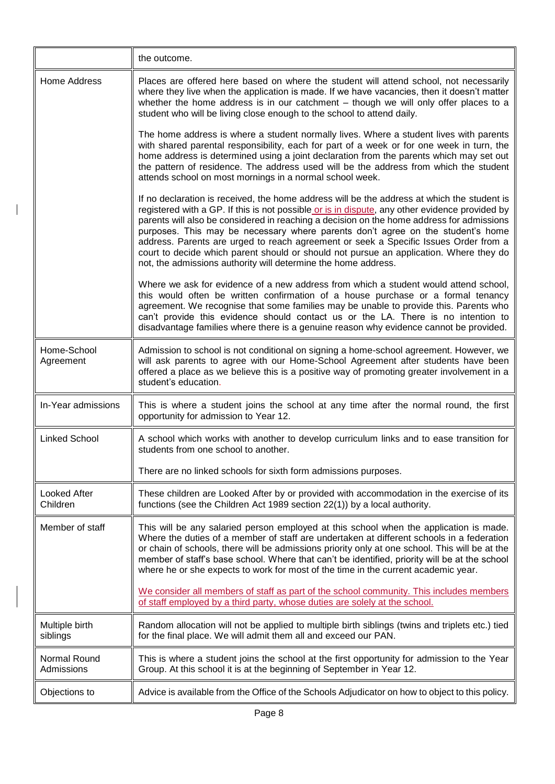|                                 | the outcome.                                                                                                                                                                                                                                                                                                                                                                                                                                                                                                                                                                                                                      |
|---------------------------------|-----------------------------------------------------------------------------------------------------------------------------------------------------------------------------------------------------------------------------------------------------------------------------------------------------------------------------------------------------------------------------------------------------------------------------------------------------------------------------------------------------------------------------------------------------------------------------------------------------------------------------------|
| Home Address                    | Places are offered here based on where the student will attend school, not necessarily<br>where they live when the application is made. If we have vacancies, then it doesn't matter<br>whether the home address is in our catchment - though we will only offer places to a<br>student who will be living close enough to the school to attend daily.                                                                                                                                                                                                                                                                            |
|                                 | The home address is where a student normally lives. Where a student lives with parents<br>with shared parental responsibility, each for part of a week or for one week in turn, the<br>home address is determined using a joint declaration from the parents which may set out<br>the pattern of residence. The address used will be the address from which the student<br>attends school on most mornings in a normal school week.                                                                                                                                                                                               |
|                                 | If no declaration is received, the home address will be the address at which the student is<br>registered with a GP. If this is not possible or is in dispute, any other evidence provided by<br>parents will also be considered in reaching a decision on the home address for admissions<br>purposes. This may be necessary where parents don't agree on the student's home<br>address. Parents are urged to reach agreement or seek a Specific Issues Order from a<br>court to decide which parent should or should not pursue an application. Where they do<br>not, the admissions authority will determine the home address. |
|                                 | Where we ask for evidence of a new address from which a student would attend school,<br>this would often be written confirmation of a house purchase or a formal tenancy<br>agreement. We recognise that some families may be unable to provide this. Parents who<br>can't provide this evidence should contact us or the LA. There is no intention to<br>disadvantage families where there is a genuine reason why evidence cannot be provided.                                                                                                                                                                                  |
| Home-School<br>Agreement        | Admission to school is not conditional on signing a home-school agreement. However, we<br>will ask parents to agree with our Home-School Agreement after students have been<br>offered a place as we believe this is a positive way of promoting greater involvement in a<br>student's education.                                                                                                                                                                                                                                                                                                                                 |
| In-Year admissions              | This is where a student joins the school at any time after the normal round, the first<br>opportunity for admission to Year 12.                                                                                                                                                                                                                                                                                                                                                                                                                                                                                                   |
| <b>Linked School</b>            | A school which works with another to develop curriculum links and to ease transition for<br>students from one school to another.                                                                                                                                                                                                                                                                                                                                                                                                                                                                                                  |
|                                 | There are no linked schools for sixth form admissions purposes.                                                                                                                                                                                                                                                                                                                                                                                                                                                                                                                                                                   |
| <b>Looked After</b><br>Children | These children are Looked After by or provided with accommodation in the exercise of its<br>functions (see the Children Act 1989 section 22(1)) by a local authority.                                                                                                                                                                                                                                                                                                                                                                                                                                                             |
| Member of staff                 | This will be any salaried person employed at this school when the application is made.<br>Where the duties of a member of staff are undertaken at different schools in a federation<br>or chain of schools, there will be admissions priority only at one school. This will be at the<br>member of staff's base school. Where that can't be identified, priority will be at the school<br>where he or she expects to work for most of the time in the current academic year.                                                                                                                                                      |
|                                 | We consider all members of staff as part of the school community. This includes members<br>of staff employed by a third party, whose duties are solely at the school.                                                                                                                                                                                                                                                                                                                                                                                                                                                             |
| Multiple birth<br>siblings      | Random allocation will not be applied to multiple birth siblings (twins and triplets etc.) tied<br>for the final place. We will admit them all and exceed our PAN.                                                                                                                                                                                                                                                                                                                                                                                                                                                                |
| Normal Round<br>Admissions      | This is where a student joins the school at the first opportunity for admission to the Year<br>Group. At this school it is at the beginning of September in Year 12.                                                                                                                                                                                                                                                                                                                                                                                                                                                              |
| Objections to                   | Advice is available from the Office of the Schools Adjudicator on how to object to this policy.                                                                                                                                                                                                                                                                                                                                                                                                                                                                                                                                   |

 $\mathbf I$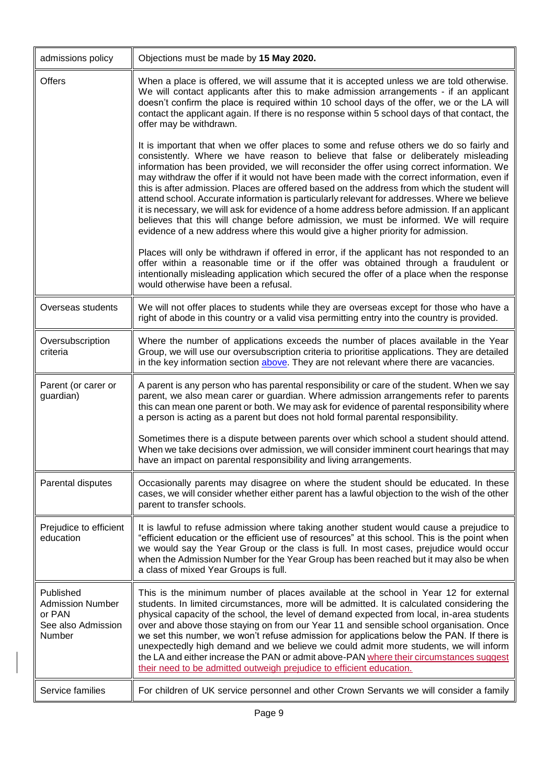<span id="page-8-0"></span>

| admissions policy                                                              | Objections must be made by 15 May 2020.                                                                                                                                                                                                                                                                                                                                                                                                                                                                                                                                                                                                                                                                                                                                                                                                                  |
|--------------------------------------------------------------------------------|----------------------------------------------------------------------------------------------------------------------------------------------------------------------------------------------------------------------------------------------------------------------------------------------------------------------------------------------------------------------------------------------------------------------------------------------------------------------------------------------------------------------------------------------------------------------------------------------------------------------------------------------------------------------------------------------------------------------------------------------------------------------------------------------------------------------------------------------------------|
| <b>Offers</b>                                                                  | When a place is offered, we will assume that it is accepted unless we are told otherwise.<br>We will contact applicants after this to make admission arrangements - if an applicant<br>doesn't confirm the place is required within 10 school days of the offer, we or the LA will<br>contact the applicant again. If there is no response within 5 school days of that contact, the<br>offer may be withdrawn.                                                                                                                                                                                                                                                                                                                                                                                                                                          |
|                                                                                | It is important that when we offer places to some and refuse others we do so fairly and<br>consistently. Where we have reason to believe that false or deliberately misleading<br>information has been provided, we will reconsider the offer using correct information. We<br>may withdraw the offer if it would not have been made with the correct information, even if<br>this is after admission. Places are offered based on the address from which the student will<br>attend school. Accurate information is particularly relevant for addresses. Where we believe<br>it is necessary, we will ask for evidence of a home address before admission. If an applicant<br>believes that this will change before admission, we must be informed. We will require<br>evidence of a new address where this would give a higher priority for admission. |
|                                                                                | Places will only be withdrawn if offered in error, if the applicant has not responded to an<br>offer within a reasonable time or if the offer was obtained through a fraudulent or<br>intentionally misleading application which secured the offer of a place when the response<br>would otherwise have been a refusal.                                                                                                                                                                                                                                                                                                                                                                                                                                                                                                                                  |
| Overseas students                                                              | We will not offer places to students while they are overseas except for those who have a<br>right of abode in this country or a valid visa permitting entry into the country is provided.                                                                                                                                                                                                                                                                                                                                                                                                                                                                                                                                                                                                                                                                |
| Oversubscription<br>criteria                                                   | Where the number of applications exceeds the number of places available in the Year<br>Group, we will use our oversubscription criteria to prioritise applications. They are detailed<br>in the key information section above. They are not relevant where there are vacancies.                                                                                                                                                                                                                                                                                                                                                                                                                                                                                                                                                                          |
| Parent (or carer or<br>guardian)                                               | A parent is any person who has parental responsibility or care of the student. When we say<br>parent, we also mean carer or guardian. Where admission arrangements refer to parents<br>this can mean one parent or both. We may ask for evidence of parental responsibility where<br>a person is acting as a parent but does not hold formal parental responsibility.                                                                                                                                                                                                                                                                                                                                                                                                                                                                                    |
|                                                                                | Sometimes there is a dispute between parents over which school a student should attend.<br>When we take decisions over admission, we will consider imminent court hearings that may<br>have an impact on parental responsibility and living arrangements.                                                                                                                                                                                                                                                                                                                                                                                                                                                                                                                                                                                                |
| Parental disputes                                                              | Occasionally parents may disagree on where the student should be educated. In these<br>cases, we will consider whether either parent has a lawful objection to the wish of the other<br>parent to transfer schools.                                                                                                                                                                                                                                                                                                                                                                                                                                                                                                                                                                                                                                      |
| Prejudice to efficient<br>education                                            | It is lawful to refuse admission where taking another student would cause a prejudice to<br>"efficient education or the efficient use of resources" at this school. This is the point when<br>we would say the Year Group or the class is full. In most cases, prejudice would occur<br>when the Admission Number for the Year Group has been reached but it may also be when<br>a class of mixed Year Groups is full.                                                                                                                                                                                                                                                                                                                                                                                                                                   |
| Published<br><b>Admission Number</b><br>or PAN<br>See also Admission<br>Number | This is the minimum number of places available at the school in Year 12 for external<br>students. In limited circumstances, more will be admitted. It is calculated considering the<br>physical capacity of the school, the level of demand expected from local, in-area students<br>over and above those staying on from our Year 11 and sensible school organisation. Once<br>we set this number, we won't refuse admission for applications below the PAN. If there is<br>unexpectedly high demand and we believe we could admit more students, we will inform<br>the LA and either increase the PAN or admit above-PAN where their circumstances suggest<br>their need to be admitted outweigh prejudice to efficient education.                                                                                                                     |
| Service families                                                               | For children of UK service personnel and other Crown Servants we will consider a family                                                                                                                                                                                                                                                                                                                                                                                                                                                                                                                                                                                                                                                                                                                                                                  |